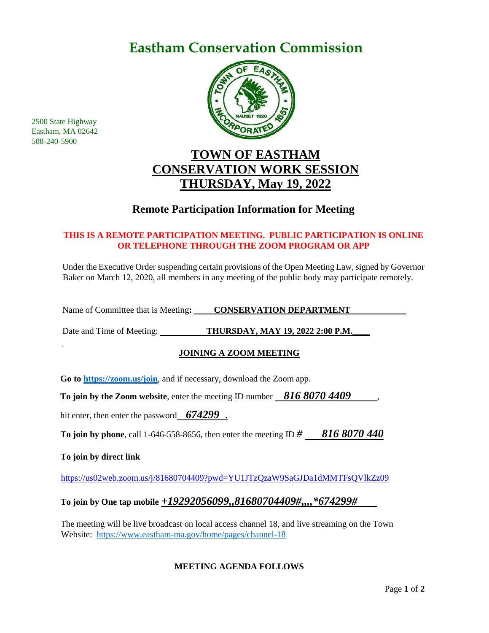## **Eastham Conservation Commission**



### **TOWN OF EASTHAM CONSERVATION WORK SESSION THURSDAY, May 19, 2022**

### **Remote Participation Information for Meeting**

#### **THIS IS A REMOTE PARTICIPATION MEETING. PUBLIC PARTICIPATION IS ONLINE OR TELEPHONE THROUGH THE ZOOM PROGRAM OR APP**

Under the Executive Order suspending certain provisions of the Open Meeting Law, signed by Governor Baker on March 12, 2020, all members in any meeting of the public body may participate remotely.

Name of Committee that is Meeting: **CONSERVATION DEPARTMENT** 

Date and Time of Meeting: **THURSDAY, MAY 19, 2022 2:00 P.M.\_\_\_\_**

#### **JOINING A ZOOM MEETING**

**Go to<https://zoom.us/join>**, and if necessary, download the Zoom app.

**To join by the Zoom website**, enter the meeting ID number *816 8070 4409*,

hit enter, then enter the password *674299* .

**To join by phone**, call 1-646-558-8656, then enter the meeting ID *# 816 8070 440*

**To join by direct link**

<https://us02web.zoom.us/j/81680704409?pwd=YU1JTzQzaW9SaGJDa1dMMTFsQVlkZz09>

#### **To join by One tap mobile** *+19292056099,,81680704409#,,,,\*674299#*

The meeting will be live broadcast on local access channel 18, and live streaming on the Town Website: <https://www.eastham-ma.gov/home/pages/channel-18>

#### **MEETING AGENDA FOLLOWS**

2500 State Highway Eastham, MA 02642 508-240-5900